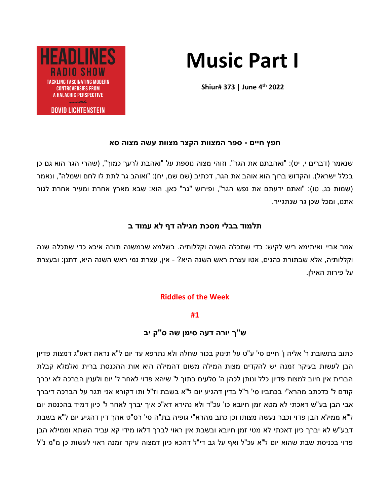# **Music Part I**

**Shiur# 373 | June 4 th 2022**



## **חפץ חיים - ספר המצוות הקצר מצוות עשה מצוה סא**

שנאמר (דברים י, יט): "ואהבתם את הגר". וזוהי מצוה נוספת על "ואהבת לרעך כמוך", (שהרי הגר הוא גם כן בכלל ישראל). והקדוש ברוך הוא אוהב את הגר, דכתיב (שם שם, יח): "ואוהב גר לתת לו לחם ושמלה", ונאמר (שמות כג, טו): "ואתם ידעתם את נפש הגר", ופירוש "גר" כאן, הוא: שבא מארץ אחרת ומעיר אחרת לגור אתנו, ומכל שכן גר שנתגייר.

# **תלמוד בבלי מסכת מגילה דף לא עמוד ב**

אמר אביי ואיתימא ריש לקיש: כדי שתכלה השנה וקללותיה. בשלמא שבמשנה תורה איכא כדי שתכלה שנה וקללותיה, אלא שבתורת כהנים, אטו עצרת ראש השנה היא? - אין, עצרת נמי ראש השנה היא, דתנן: ובעצרת על פירות האילן.

# **Riddles of the Week**

# **#1**

# **ש"ך יורה דעה סימן שה ס"ק יב**

כתוב בתשובת ר' אליה ן' חיים סי' ע"ט על תינוק בכור שחלה ולא נתרפא עד יום ל"א נראה דאע"ג דמצות פדיון הבן לעשות בעיקר זמנה יש להקדים מצות המילה משום דהמילה היא אות ההכנסת ברית ואלמלא קבלת הברית אין חיוב למצות פדיון כלל ונותן לכהן ה' סלעים בתוך ל' שיהא פדוי לאחר ל' יום ולענין הברכה לא יברך קודם ל' כדכתב מהרא"י בכתביו סי' ר"ל בדין דהגיע יום ל"א בשבת וז"ל ותו דקורא אני תגר על הברכה דיברך אבי הבן בע"ש דאכתי לא מטא זמן חיובא כו' עכ"ד ולא נהירא דא"כ איך יברך לאחר ל' כיון דמיד בהכנסת יום ל"א ממילא הבן פדוי וכבר נעשה מצותו וכן כתב מהרא"י גופיה בת"ה סי' רס"ט אהך דין דהגיע יום ל"א בשבת דבע"ש לא יברך כיון דאכתי לא מטי זמן חיובא ובשבת אין ראוי לברך דלאו מידי קא עביד השתא וממילא הבן פדוי בכניסת שבת שהוא יום ל"א עכ"ל ואף על גב די"ל דהכא כיון דמצוה עיקר זמנה ראוי לעשות כן מ"מ נ"ל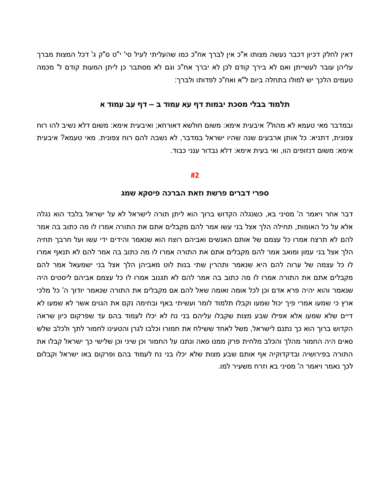דאין לחלק דכיון דכבר נעשה מצותו א"כ אין לברך אח"כ כמו שהעליתי לעיל סי' י"ט ס"ק ג' דכל המצות מברך עליהן עובר לעשייתן ואם לא בירך קודם לכן לא יברך אח"כ וגם לא מסתבר כן ליתן המעות קודם ל' מכמה טעמים הלכך יש למולו בתחלה ביום ל"א ואח"כ לפדותו ולברך:

## **תלמוד בבלי מסכת יבמות דף עא עמוד ב – דף עב עמוד א**

ובמדבר מאי טעמא לא מהול? איבעית אימא: משום חולשא דאורחא; ואיבעית אימא: משום דלא נשיב להו רוח צפונית, דתניא: כל אותן ארבעים שנה שהיו ישראל במדבר, לא נשבה להם רוח צפונית. מאי טעמא? איבעית אימא: משום דנזופים הוו, ואי בעית אימא: דלא נבדור ענני כבוד.

#### **#2**

#### **ספרי דברים פרשת וזאת הברכה פיסקא שמג**

דבר אחר ויאמר ה' מסיני בא, כשנגלה הקדוש ברוך הוא ליתן תורה לישראל לא על ישר אל בלבד הוא נגלה אלא על כל האומות, תחילה הלך אצל בני עשו אמר להם מקבלים אתם את התורה אמרו לו מה כתוב בה אמר להם לא תרצח אמרו כל עצמם של אותם האנשים ואביהם רוצח הוא שנאמר והידים ידי עשו ועל חרבך תחיה הלך אצל בני עמון ומואב אמר להם מקבלים אתם את התורה אמרו לו מה כתוב בה אמר להם לא תנאף אמרו לו כל עצמה של ערוה להם היא שנאמר ותהרין שתי בנות לוט מאביהן הלך אצל בני ישמעאל אמר להם מקבלים אתם את התורה אמרו לו מה כתוב בה אמר להם לא תגנוב אמרו לו כל עצמם אביהם ליסטים היה שנאמר והוא יהיה פרא אדם וכן לכל אומה ואומה שאל להם אם מקבלים את התורה שנאמר יודוך ה' כל מלכי ארץ כי שמעו אמרי פיך יכול שמעו וקבלו תלמוד לומר ועשיתי באף ובחימה נקם את הגוים אשר לא שמעו לא דיים שלא שמעו אלא אפילו שבע מצות שקבלו עליהם בני נח לא יכלו לעמוד בהם עד שפרקום כיון שראה הקדוש ברוך הוא כך נתנם לישראל, משל לאחד ששילח את חמורו וכלבו לגרן והטעינו לחמור לתך ולכלב שלש סאים היה החמור מהלך והכלב מלחית פרק ממנו סאה ונתנו על החמור וכן שיני וכן שלישי כך ישראל קבלו את התורה בפירושיה ובדקדוקיה אף אותם שבע מצות שלא יכלו בני נח לעמוד בהם ופרקום באו ישראל וקבלום לכך נאמר ויאמר ה' מסיני בא וזרח משעיר למו.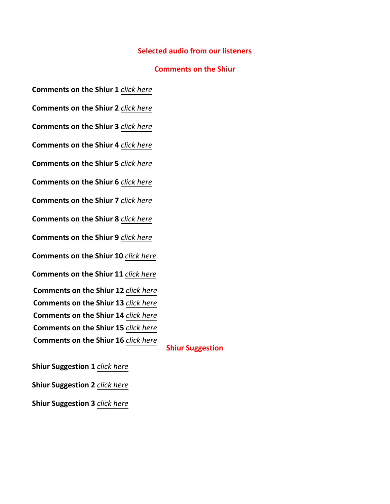## **Selected audio from our listeners**

## **Comments on the Shiur**

- **Comments on the Shiur 1** *[click here](https://drive.google.com/file/d/1JYca9fu3Zo5bZbxasJnKvQjtsxYIvHxR/view?usp=sharing)*
- **Comments on the Shiur 2** *[click here](https://drive.google.com/file/d/1qM9Ycgy_fbp3YhN5ln2IHu908XUKG5_m/view?usp=sharing)*
- **Comments on the Shiur 3** *[click here](https://drive.google.com/file/d/1wu_l5yGBP6PZxRwNoMQxopM4xwNQawYf/view?usp=sharing)*
- **Comments on the Shiur 4** *[click here](https://drive.google.com/file/d/1hznhbyFLzQHnyAOlG8n2QGsyLIgBf6RE/view?usp=sharing)*
- **Comments on the Shiur 5** *[click here](https://drive.google.com/file/d/1xwIGZomHw4wIh1U9kWlLKMoCuIgNVgdG/view?usp=sharing)*
- **Comments on the Shiur 6** *[click here](https://drive.google.com/file/d/1zQIAvg8BcOfMYMPBkIEGz9j6P9zn0dy4/view?usp=sharing)*
- **Comments on the Shiur 7** *[click here](https://drive.google.com/file/d/1ijbCYTYOVACZo-L6S5I6so4ZICo7iKnP/view?usp=sharing)*
- **Comments on the Shiur 8** *[click here](https://drive.google.com/file/d/1_sgTxE5H0yowW3Q0EArYTheis8tcVe8E/view?usp=sharing)*
- **Comments on the Shiur 9** *[click here](https://drive.google.com/file/d/1YEuSj4U9k7hbR4o7heaEX9uh5cdcz9cl/view?usp=sharing)*
- **Comments on the Shiur 10** *[click here](https://drive.google.com/file/d/1Yv2qZofoLIoldcBn6r-7iBhut0ffq9ss/view?usp=sharing)*
- **Comments on the Shiur 11** *[click here](https://drive.google.com/file/d/1G5BtYIOuWR9XiULLLAJRTEP09WKd81VU/view?usp=sharing)*
- **Comments on the Shiur 12** *[click here](https://drive.google.com/file/d/1Iba3lkjTPzXEIrxPXmDlYG1dnGZxwDON/view?usp=sharing)*
- **Comments on the Shiur 13** *[click here](https://drive.google.com/file/d/1pMkKPeI4ieVtotmXQiUsyfHvIE4W6ZDh/view?usp=sharing)*
- **Comments on the Shiur 14** *[click here](https://drive.google.com/file/d/19k458NAwPTxRz_Vk_ByFcitL7QVJzb2T/view?usp=sharing)*
- **Comments on the Shiur 15** *[click here](https://drive.google.com/file/d/1UQ1NL2gEV_bc1NzoJzOO6W2bTmgAgUN7/view?usp=sharing)*
- **Comments on the Shiur 16** *[click here](https://drive.google.com/file/d/15BndptESxRXTE5foMBxZqtJktlzR3F5L/view?usp=sharing)*

### **Shiur Suggestion**

- **Shiur Suggestion 1** *[click here](https://drive.google.com/file/d/1JjXGYJWWqVJSPKla1DOGXhpzBjofFFeS/view?usp=sharing)* **Shiur Suggestion 2** *[click here](https://drive.google.com/file/d/1qXVg9X-ifd2oF9nrRKx-YBaGrqWOYeab/view?usp=sharing)*
- **Shiur Suggestion 3** *[click here](https://drive.google.com/file/d/10YrKHSH4-8CLxiY3rTDbDCjBWmglTi2U/view?usp=sharing)*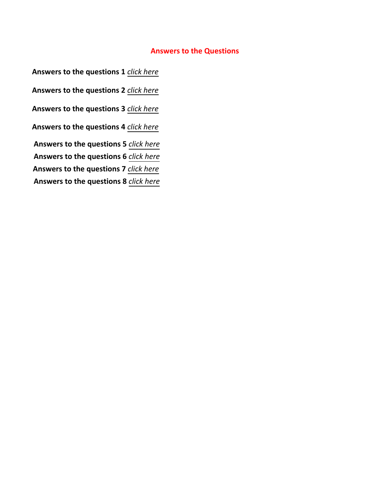# **Answers to the Questions**

**Answers to the questions 1** *[click here](https://drive.google.com/file/d/1beUY7mba9rPNXRiUsDGfY__rgJFaB4C_/view?usp=sharing)* **Answers to the questions 2** *[click here](https://drive.google.com/file/d/1kyWlCf2hKStzNI45_JTxs9JJwD1m68pT/view?usp=sharing)* **Answers to the questions 3** *[click here](https://drive.google.com/file/d/1TkkLLl6DC2VUi0ACkqcdXiy82LK0OGj9/view?usp=sharing)* **Answers to the questions 4** *[click here](https://drive.google.com/file/d/1_KbZDzSdxAqziUZVddN2-TtCzCFsIjq5/view?usp=sharing)* **Answers to the questions 5** *[click here](https://drive.google.com/file/d/1KaoPxVBFr_2DNNFMA4zjdIpaM0QDkB34/view?usp=sharing)* **Answers to the questions 6** *[click here](https://drive.google.com/file/d/1XjKXQU6ExTwqrL-pDtbC5Kvzl-f6u2CC/view?usp=sharing)*  **Answers to the questions 7** *[click here](https://drive.google.com/file/d/1_vmjp8blAqeHZPlNA6g_oEoLWGoUzjXA/view?usp=sharing)* **Answers to the questions 8** *[click here](https://drive.google.com/file/d/1BWkcleLTrUN-AUrd1sre0D2ZyQETztt9/view?usp=sharing)*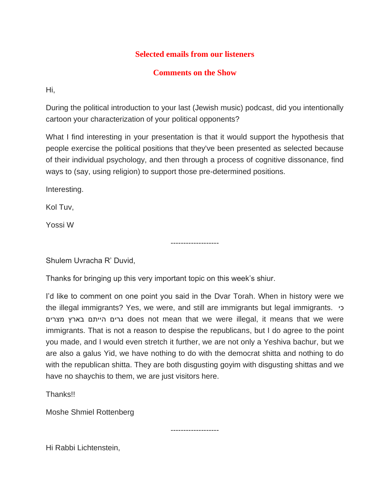# **Selected emails from our listeners**

# **Comments on the Show**

Hi,

During the political introduction to your last (Jewish music) podcast, did you intentionally cartoon your characterization of your political opponents?

What I find interesting in your presentation is that it would support the hypothesis that people exercise the political positions that they've been presented as selected because of their individual psychology, and then through a process of cognitive dissonance, find ways to (say, using religion) to support those pre-determined positions.

-------------------

Interesting.

Kol Tuv,

Yossi W

Shulem Uvracha R' Duvid,

Thanks for bringing up this very important topic on this week's shiur.

I'd like to comment on one point you said in the Dvar Torah. When in history were we the illegal immigrants? Yes, we were, and still are immigrants but legal immigrants. כי מצרים בארץ הייתם גרים does not mean that we were illegal, it means that we were immigrants. That is not a reason to despise the republicans, but I do agree to the point you made, and I would even stretch it further, we are not only a Yeshiva bachur, but we are also a galus Yid, we have nothing to do with the democrat shitta and nothing to do with the republican shitta. They are both disgusting goyim with disgusting shittas and we have no shaychis to them, we are just visitors here.

-------------------

Thanks!!

Moshe Shmiel Rottenberg

Hi Rabbi Lichtenstein,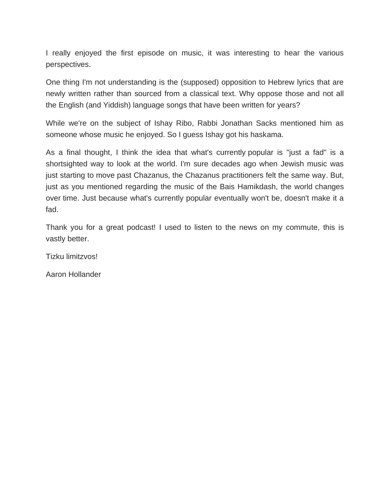I really enjoyed the first episode on music, it was interesting to hear the various perspectives.

One thing I'm not understanding is the (supposed) opposition to Hebrew lyrics that are newly written rather than sourced from a classical text. Why oppose those and not all the English (and Yiddish) language songs that have been written for years?

While we're on the subject of Ishay Ribo, Rabbi Jonathan Sacks mentioned him as someone whose music he enjoyed. So I guess Ishay got his haskama.

As a final thought, I think the idea that what's currently popular is "just a fad" is a shortsighted way to look at the world. I'm sure decades ago when Jewish music was just starting to move past Chazanus, the Chazanus practitioners felt the same way. But, just as you mentioned regarding the music of the Bais Hamikdash, the world changes over time. Just because what's currently popular eventually won't be, doesn't make it a fad.

Thank you for a great podcast! I used to listen to the news on my commute, this is vastly better.

Tizku limitzvos!

Aaron Hollander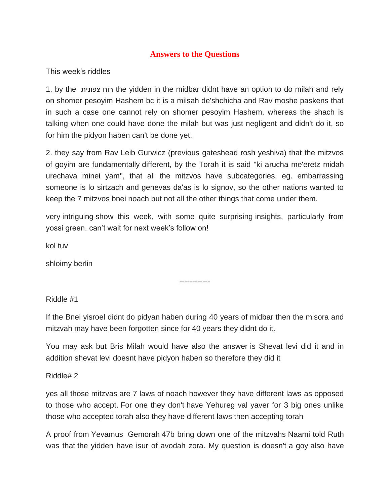## **Answers to the Questions**

This week's riddles

1. by the צפונית רוח the yidden in the midbar didnt have an option to do milah and rely on shomer pesoyim Hashem bc it is a milsah de'shchicha and Rav moshe paskens that in such a case one cannot rely on shomer pesoyim Hashem, whereas the shach is talking when one could have done the milah but was just negligent and didn't do it, so for him the pidyon haben can't be done yet.

2. they say from Rav Leib Gurwicz (previous gateshead rosh yeshiva) that the mitzvos of goyim are fundamentally different, by the Torah it is said ''ki arucha me'eretz midah urechava minei yam'', that all the mitzvos have subcategories, eg. embarrassing someone is lo sirtzach and genevas da'as is lo signov, so the other nations wanted to keep the 7 mitzvos bnei noach but not all the other things that come under them.

very intriguing show this week, with some quite surprising insights, particularly from yossi green. can't wait for next week's follow on!

kol tuv

shloimy berlin

------------

Riddle #1

If the Bnei yisroel didnt do pidyan haben during 40 years of midbar then the misora and mitzvah may have been forgotten since for 40 years they didnt do it.

You may ask but Bris Milah would have also the answer is Shevat levi did it and in addition shevat levi doesnt have pidyon haben so therefore they did it

Riddle# 2

yes all those mitzvas are 7 laws of noach however they have different laws as opposed to those who accept. For one they don't have Yehureg val yaver for 3 big ones unlike those who accepted torah also they have different laws then accepting torah

A proof from Yevamus Gemorah 47b bring down one of the mitzvahs Naami told Ruth was that the yidden have isur of avodah zora. My question is doesn't a goy also have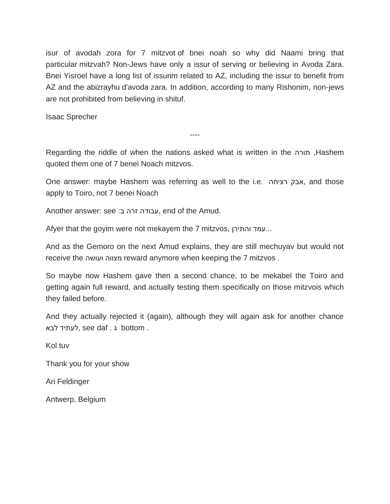isur of avodah zora for 7 mitzvot of bnei noah so why did Naami bring that particular mitzvah? Non-Jews have only a issur of serving or believing in Avoda Zara. Bnei Yisroel have a long list of issurim related to AZ, including the issur to benefit from AZ and the abizrayhu d'avoda zara. In addition, according to many Rishonim, non-jews are not prohibited from believing in shituf.

Isaac Sprecher

Regarding the riddle of when the nations asked what is written in the תורה ,Hashem quoted them one of 7 benei Noach mitzvos.

----

One answer: maybe Hashem was referring as well to the i.e. רציחה אבק, and those apply to Toiro, not 7 benei Noach

Another answer: see :ב זרה עבודה, end of the Amud.

Afyer that the goyim were not mekayem the 7 mitzvos, והתירן עמד...

And as the Gemoro on the next Amud explains, they are still mechuyav but would not receive the ועושה מצווה reward anymore when keeping the 7 mitzvos .

So maybe now Hashem gave then a second chance, to be mekabel the Toiro and getting again full reward, and actually testing them specifically on those mitzvois which they failed before.

And they actually rejected it (again), although they will again ask for another chance . bottom ג . daf see ,לעתיד לבא

Kol tuv

Thank you for your show

Ari Feldinger

Antwerp, Belgium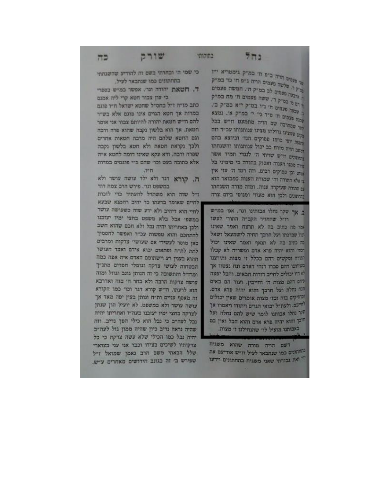m

בחוקותי

כי שמי הי וכחרתי בשם זה להודיע שהשגחתי כתחתונים כמו שנתבאר לעיל.

שורק

ד. חטאת יהודה וגו׳. אפשר כמיש בספרי כי עון צבור חטא קרי ליה אמנם

כתב מזיה זיל בחסיל שחטא ישראל חיו פוגם במדות אך חטא הגוים אינו פוגם אלא בש״ר להם וז"ש חטאת יהודה להיותם צבור אני אומר חטאת. אך הוא בלשון נקבה שהוא פרה ורבה וגם החטא שלהם חיה מרבה חטאות אחרים ולכך נקראת חטאת ולא חטא בלשון נקבה שפרה ורבה. ודא עקא שאינו דומה לחטא א״ה אלא כתובה בעט וכו׳ שהם כ״י פוגמים במדות

.vn

ה. קורא דגר ולא ילד עושה עושר ולא במשפט וגר'. פירש הרב צמח דוד

דיל שזה הוא משתדל להעתיד כדי לזכות לחיים שאומר בדעתו כד יהיב רחמנא שבעא לחיי הוא דיהיב ולא ידע שזה כשעושה עושר כמשפי אכל כלא משפט בחצי ימיו יעזכנו ולכן באחריתו יהיה נכל ולא חכם שהוא חשב להתחכם והוא טפשות עכ״ד ואפשר להסמיך כאן מוסר לעשירי אם שעושיי צדקות ומרבים לתת לת״ח ופתאום יכוא אידם ואבד העושר ההוא בענין רע וישתומם האדם איה אפה כמה הבטחות לעושי צדקה וגומלי חסדים מתנ״ך ומרזייל והתשובה כי זה הנותן גונב וגוזל ומזה עושה צרקות הרבה ולא בחר ה' בזה ואדרבא הוא לרעתו. וז״ש קורא דגר וכו׳ כמו הקורא זה מאסף עניים ות״ח ונותן בעין יפה מאד אך עושה עושר ולא במשפט. לא יועיל הון שנתן לצדקה בחצי ימיו יעובנו כעה״ז ואחריתו יהיה נבל לעה״ב כי נבל הוא כילי הפך נדיב. וזה שהיה נראה נדיב כיון שהיה ממון גזל לעה״ב יחיה נכל כמו הכילי שלא עשה צדקה כי כל צדקותיו לשיכים בצידו וכבר אני עני בצוארי שלל הבאתי משם הרב נאמן שמואל ז״ל שפירש ב׳ זה בגונב חידושים מאחרים ע״ש.

עי פעטים הריה ביים חי במייק גימטריא ייז .<br>ביל ר: סלשה פעמים הויה גייפ חי כד במייק .<br>ד. צרכה פעמים לכ במ"ק ח'. חמשה פעמים ר הם מי כמייק די. ששה פעמים חי מח במייק ב. סבעה פעמים חי נייו במייק י"א במייק בי. קתה פעמים חי סיד גרי יי במייק א'. נמצא היו סמחיבה שם הויה מתמעט ודיש בכל מקום שמציעו בדולתו מצינו עבותנותו עכ"ד חזה הספת יופי ברמז פסוקים הנדי וכיוצא בהם הזקם הדיה מזרח כב יכול ענותגותו והשנחתו בתתתים חייש שרותי הי לנגדי תמיד אשר מיה ממנו הענוה ואסוק בתורה כי מימיני בל אמוש וכן פסוקים רבים. וזה רמז ה׳ עזי אין עי אלא התורה והן שמורה הענוה כמבואר הוא ע: התורה שעיקרה ענוה. ומזה מורה השגחתו בטתונים ולכן הוא מעוזי ומנוסי ביום צרה

 $551$ 

ב. אך שקר נחלו אבותינו וגר. אפ׳ במ״ש רויל שהחזיר הקב״ה התורי לעשו אמר שאינו ינול שברכתו ועל חרבך תחיה לישמעאל ושאל מה כתיב בה לא תנאף ואמר שאינו יכול דנתי והוא יהיה פרא אדם ומשודה לא קבלו התיה ומקשים דהם בכלל ז' מצות ותירצנו כעיותו דהם סכרו דנהי דאדם ונח נצטוו אך יא היו יכולים לחייב דורות הבאים. והבל יפצה ייהם ההם מצות הי וחייבין. ועוד הם באים מנה נחלת ועל חרבך והוא יהיה פרא אדם. <sup>ומחזיקים בזה וכדי מצות</sup> אומרים שאין יכולים לחייכם. ולעת״ל יכואי הגוים ויתודו ויאמרו אך ייני נחלו אבותנו לומר שיש להם נחלה ועל <sup>תרבן</sup> והוא יהיה פרא אדם והוא הכל ואין בם באבותנו מועיל לר שהנחילנו ז' מצות.

דשם הריח מורה שהוא משגיח החתונים כמו שנתבאר לעיל וד״ש אודיעם את די ואת גבורתי שאני משגיח בתחתונים וידעו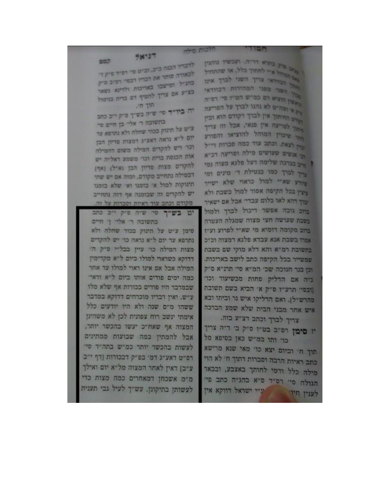יט בשייך סי שיה סיק ייב כתב בתשובה ר' אלר' ך' חיים סימן ע״ט על תינוק בכור שחלה ולא נתרפא עד יום ל״א נראה כר יש להקדים מצות המילה כרי עיין בבליי סיק ה׳ דדוקא כשראוי למולו כיום ל"א מקדימין המילה אכל אם אינו ראוי למולו עד אחר כמה ימים פודים אותו ביום ל"א ורא" שבמדבר היו פודים בכורות אף שלא מלו ע״ש. ואין דבריו מוכרחים דדוקא במדבר ששהו מ"ם שנה ולא היו יודעים כלל אימתי ינשב רוח צפונית לכן לא משהינן המצוה אף שאח"כ יעשו בהכשר יותר, אבל להמתין כמה שבועות ממתינים לעשות בהכשר יותר כמ״ש בתה״ד סי׳ רס"ט דאע"ג דמ' בפ"ק דבכורות [דף י"ב ע״ב) דאין לאחר המצוה מל״א יום ואילך מ"מ אשכחן דמאחרים כמה מצות כדי לעשותן בתיקונן. עש"ך לעיל גבי תענית

יה ביו״ד סי׳ שיה בשיך פיק ייב כתב בתשובה ר' אליי כן חיים סיי עיט על תיגוק בכור שחלה ולא נתרפא עד יום ל"א נראה דאע"ג דסצות פדיון הבן וכר ויש להקדים המילה משום דהמילה אות הכנסת ברית וכדי משמע ראליה יש להקדים מצות פריון הכן (איל) (אלו דבמילה נתחייב מקודם, ומזה אם יש שתי תינוקות למול א׳ בזמנו וא׳ שלא בזמנו יש להקדים וה שבזמנה אף דזה נתחייב מקודם וכתב עוד ראיות וסברות על זה.

 $m$ -ran

**DDD** לדבריו הכנה כייכ, ובייט סיי רסיד סיק די לכאורה סותר את דבריו דבסי: רסיב סיק כהניל ומישבו באריכות ולדינא נשאר בציע אם צריך להטיף דם ברית בניטול

> יו סימן דס״ב בט״ו ס״ק ב׳ ד״ה צריך כו׳ ותו במ״ש כאן בסיפא מל תוך ח' וביום יצא כו' מאי שנא מרישא כתב ראיות הרבה וסברות דתוך ח׳ לא הוי מילה כלל ודמי לחותך באצבע, ובבאר הגולה סי׳ רס״ד ס״א בהג״ה כתב פי׳ יע״י ישראל דווקא אין לענין חיו

.<br>הוא מוק בתוא דריה, ועכשיו נותנין וה הסתלא יי לחתוך כלל, או שהתחיל יים המחיאי צריך השני לברך אינו אחר השני מסני המהירות דכווראי הישר הוציא דם כמיש הטיו סיי רסיות היו א' ומה־ים לא נחגר לכרך על הפריעה ומות החיתוך אין לכרך דקודם הוא וכין החוך לפריעה אין פנאי, אכל זה צריך אתר שיכוין המוהל להוציאו והפורע צהן לצאה. וכתב עוד כמה סברות דייל יצי אנשים שעושים מילה ופריעה דכיא ? <sub>הים</sub> בכרכה שלימה דעל פלגא מצוה נמי צרוך לברך כמו בגטילת די מינים ומי פיורע שא"י למול כראוי שלא ישייר דעין בכל הקיפה אסור למול בשבת ולא יכוך דהא לאו כלום עבדיי אבל אם ישאיר בחב גובה אפשר דיכול לברך ולמול בשבת שעושה חצי מצוה שמגלה העטרה ברוב מקומה דומיא מי שא״י לפרוע וע״ז אמרו בשבת אנא עבדא פלגא דמצוה וכ״כ בתשובת רמ"א והא דלא מוקי שם בשבת שמשייר בכל הקיפה כתב לישב באריכות. וכן בנר חנוכה שכ׳ המ״א סי׳ תרנ״א ס״ק כ"ה אם הדליק פחות מכשיעור וכו" [ובטי' תרע"ז ס"ק א' הביא בשם תשובת מהרש"ל). ואם הדליקו איש נר וביתו ובא איש אחר מבני הבית שלא שמע הברכה צריך לכויך וכתב דצ״ע בזה.

13201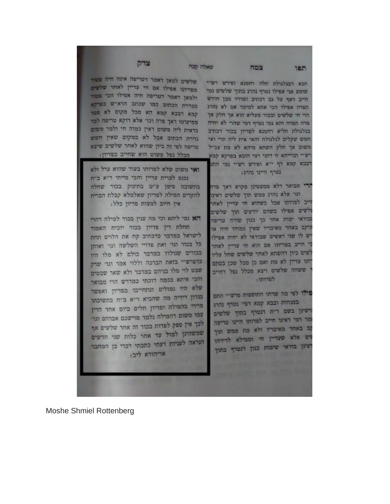**Moshe Shmiel Rottenberg** 

אין חיוב למצות פדיון כלל: הא נמי ליתא וכי מה ענין בכור למילה דחרי תחלת דין פדיון בכור יוכיח האמור לישראל במדבר כדכתיב קח את הלוים תחת כל בכור וגר ואת פדויי השלשה וגר ואותן בכורים שנולדו במדבר כולם לא מלו היו כדפרש"י בזאת הברכה וללוי אמר וגד שרק שבט לוי מלו כניהם במדבר ולא שאר שבטים והכי איתא בכמה דוכתי במדרש הרי מבואר שלא היו נמולים ונתחייבו בפדיון ואפשר בנדון דידיה מה שהביא ד"א ב"ח בתשובתו מיידי בהמילה ופדיון חלים ביום אחד הדין עמו משום דהמילה נלמד מוישכם אברהם וגוז לכך אין ספק לפדות בכור זה אחר שלשים אף שמשהינן למול עד אחר כלות שני חדשים הנראה לעניות דעתי כתבתי דברי כן המחבר אריהודא ליב:

פילו לפי מה שדחו התוספות פרש״י התם במנחות ובבא קמא דפי' נטרף נהרג רשינן בשם דית דנטרף בתוך שלשים מר רמי דאינו חייב לפדותו היינו טריפה קב באחד מאיבריו ולא מת ממש תוך זים אלא שעדיין חי וממילא לדידהו יעינן בודאי שימוח כגון דנטרף בתוך

#### לפדותו:

ירי מבואר דלא ממעטינן מקרא דאך פדה דגו׳ אלא נהרג ממש תוך שלשים דאינו וייב לפדותו אבל כשהוא חי עדיין לאחר זלשים אפילו בשהם יודעים תוך שלשים ובודאי ימות אחר כך כגון שהיה טריפה ניקב באחד מאיבריו שאין כמוהו חיה או יש לו שני ראשים שבודאי לא יחיה אפילו כי חייב בפדיונו אם הוא חי עדיין לאחר לשים כיון דהשתא לאחר שלשים שחל עליו יונו עדיין לא מת ואם כן מכל שכן בסתם ' ששהה שלשים ויצא מכלל נפל דחייב

# גטרף היינו נהרג:

הכא דכגלגולת תלה רחמנא ופירש רש"י שומע אני אפילו נטרף נהרג בתוך שלשים נמי חייב דאף על גם דכתיב ופדויו מבן חודש תפדה אפילו הכי אתא למימר אם לא נהרג הוי חי שלשים ובכור מעליא הוא אך חלק אך פרה תפרה רהא נמי נטרף דמי שהרי לא יחיה בגלגולת תליא רחמנא לפדיון בכור דכתיב חמש שקלים לגלגולת והאי אית ליה תרי ואי משום אך חלק השתא מיהא לא מת עכ״ל רש"י וברייתא זו דתני רמי הובא בפרקא קמא רבבא קמא דף י"א ופירש רש"י נמי התם

שלשים למאן דאמר דטריפה אינה חיה פטור מפדיונו אפילו אם חי עדיין לאחר שלשים ולמאן דאמר דטריפה חיה אפילו הכי פטור מגזירת הכתוב כמו שכתב הרא"ש כפרפא קמא דכבא קמא הא מכל מקום לא פטר ממיעוטו דאך פדה וכו׳ אלא דוקא טריפה למר כדאית ליה משום דאין כמוה חי ולמר משום גזירת הכתוב אבל לא במקום שאין חשש טריפה לפי זה כיון שהוא לאחר שלשים שיצא מכלל נפל פשוט הוא שחייב בפדיון:

ואי משום שלא לפדותו בעוד שהוא ערל ולא

להקדים המילה לפדיון שאלמלא קבלת הברית

נכנס לברית עדיין והכי מייתי ד״א ב״ח בתשובה סימן ע״ט בחינוק בכור שחלה

צדק

צמח

המו

שאלה קבח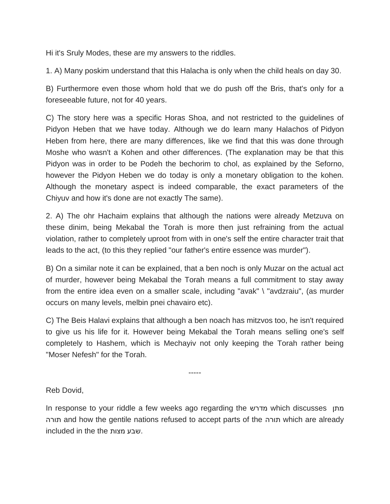Hi it's Sruly Modes, these are my answers to the riddles.

1. A) Many poskim understand that this Halacha is only when the child heals on day 30.

B) Furthermore even those whom hold that we do push off the Bris, that's only for a foreseeable future, not for 40 years.

C) The story here was a specific Horas Shoa, and not restricted to the guidelines of Pidyon Heben that we have today. Although we do learn many Halachos of Pidyon Heben from here, there are many differences, like we find that this was done through Moshe who wasn't a Kohen and other differences. (The explanation may be that this Pidyon was in order to be Podeh the bechorim to chol, as explained by the Seforno, however the Pidyon Heben we do today is only a monetary obligation to the kohen. Although the monetary aspect is indeed comparable, the exact parameters of the Chiyuv and how it's done are not exactly The same).

2. A) The ohr Hachaim explains that although the nations were already Metzuva on these dinim, being Mekabal the Torah is more then just refraining from the actual violation, rather to completely uproot from with in one's self the entire character trait that leads to the act, (to this they replied "our father's entire essence was murder").

B) On a similar note it can be explained, that a ben noch is only Muzar on the actual act of murder, however being Mekabal the Torah means a full commitment to stay away from the entire idea even on a smaller scale, including "avak" \ "avdzraiu", (as murder occurs on many levels, melbin pnei chavairo etc).

C) The Beis Halavi explains that although a ben noach has mitzvos too, he isn't required to give us his life for it. However being Mekabal the Torah means selling one's self completely to Hashem, which is Mechayiv not only keeping the Torah rather being "Moser Nefesh" for the Torah.

-----

Reb Dovid,

In response to your riddle a few weeks ago regarding the מדרש which discusses מתן תורה and how the gentile nations refused to accept parts of the תורה which are already included in the the מצות שבע.